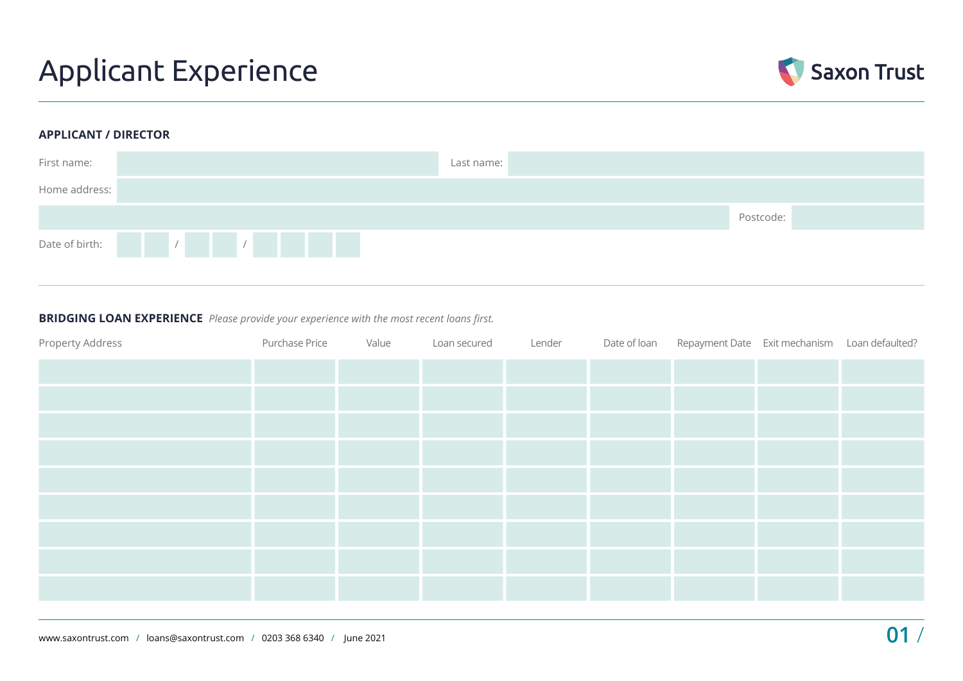## Applicant Experience



### **APPLICANT / DIRECTOR**



### **BRIDGING LOAN EXPERIENCE** *Please provide your experience with the most recent loans first.*

| Property Address | Purchase Price | Value | Loan secured | Lender | Date of loan Repayment Date Exit mechanism Loan defaulted? |  |
|------------------|----------------|-------|--------------|--------|------------------------------------------------------------|--|
|                  |                |       |              |        |                                                            |  |
|                  |                |       |              |        |                                                            |  |
|                  |                |       |              |        |                                                            |  |
|                  |                |       |              |        |                                                            |  |
|                  |                |       |              |        |                                                            |  |
|                  |                |       |              |        |                                                            |  |
|                  |                |       |              |        |                                                            |  |
|                  |                |       |              |        |                                                            |  |
|                  |                |       |              |        |                                                            |  |